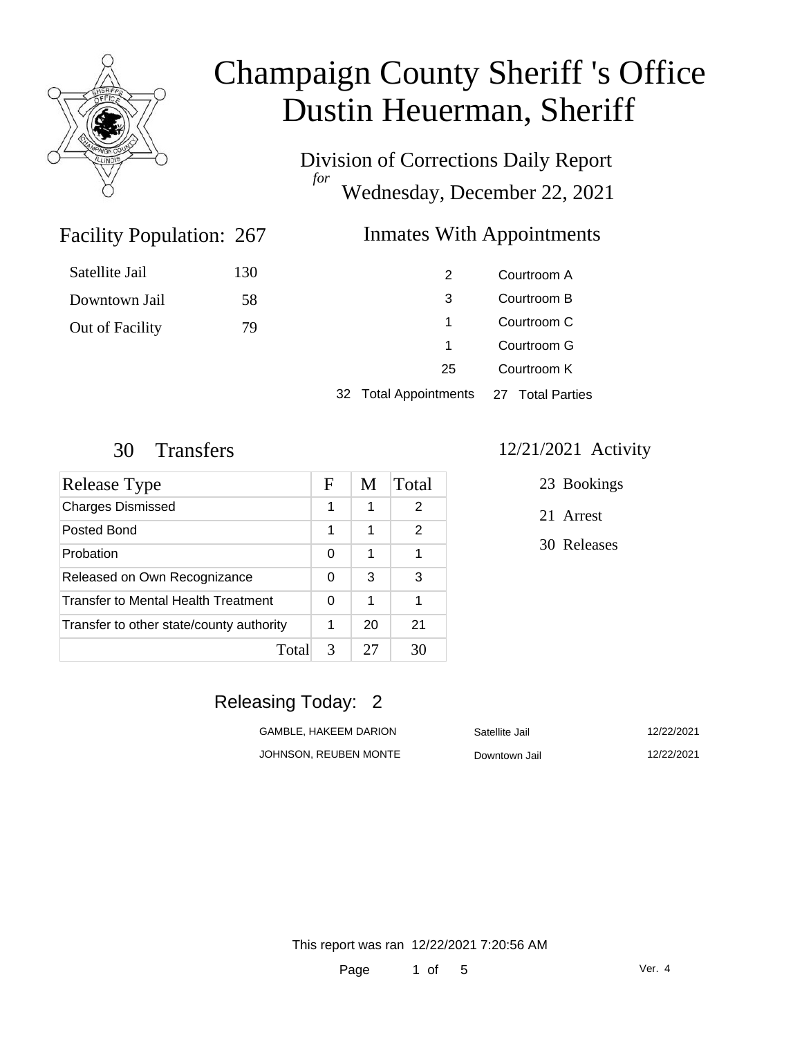

Satellite Jail

Downtown Jail

Out of Facility

# Champaign County Sheriff 's Office Dustin Heuerman, Sheriff

Division of Corrections Daily Report *for* Wednesday, December 22, 2021

#### Inmates With Appointments

| 130 | 2  | Courtroom A |
|-----|----|-------------|
| 58  | 3  | Courtroom B |
| 79  | 1. | Courtroom C |
|     | 1. | Courtroom G |
|     | 25 | Courtroom K |
|     |    |             |

32 Total Appointments 27 Total Parties

Facility Population: 267

| Release Type                             | F | M  | Total |
|------------------------------------------|---|----|-------|
| <b>Charges Dismissed</b>                 | 1 | 1  | 2     |
| Posted Bond                              | 1 | 1  | 2     |
| Probation                                | 0 | 1  |       |
| Released on Own Recognizance             | 0 | 3  | 3     |
| Transfer to Mental Health Treatment      | 0 | 1  | 1     |
| Transfer to other state/county authority | 1 | 20 | 21    |
| Total                                    | 3 | 27 | 30    |

#### 30 Transfers 12/21/2021 Activity

- 23 Bookings
- 21 Arrest
- 30 Releases

#### Releasing Today: 2

| GAMBLE. HAKEEM DARION |  |
|-----------------------|--|
| JOHNSON, REUBEN MONTE |  |

| GAMBLE. HAKEEM DARION | Satellite Jail | 12/22/2021 |
|-----------------------|----------------|------------|
| JOHNSON, REUBEN MONTE | Downtown Jail  | 12/22/2021 |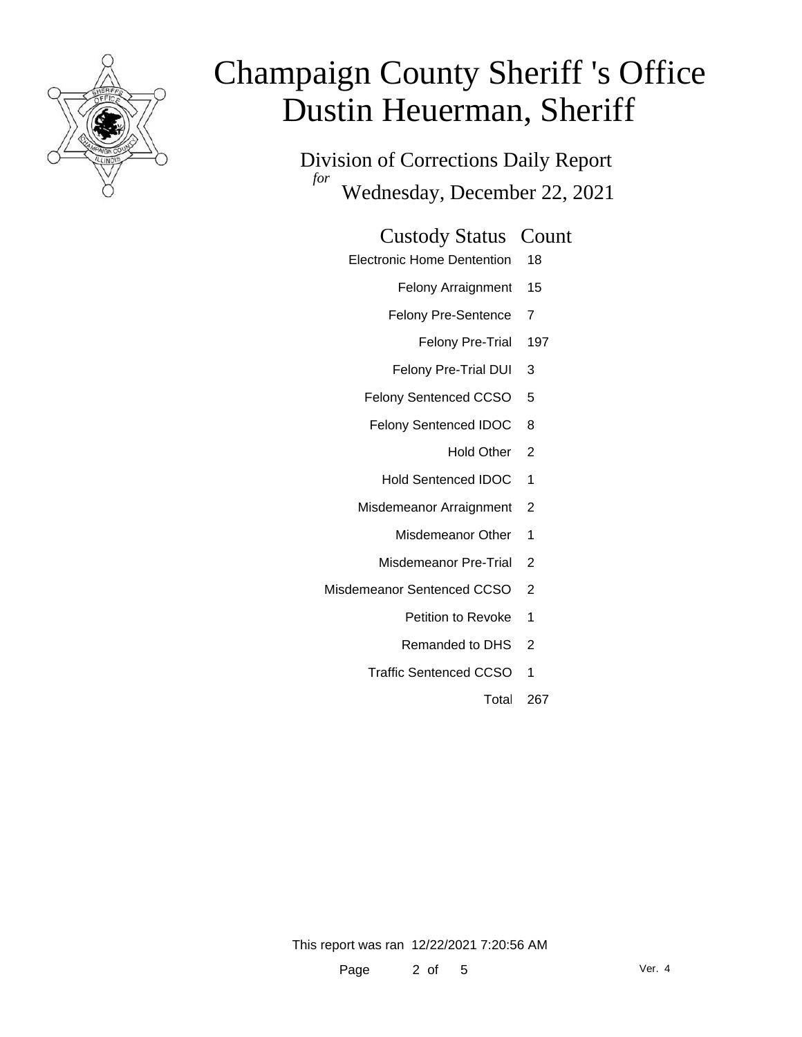

Division of Corrections Daily Report *for* Wednesday, December 22, 2021

#### Custody Status Count

- Electronic Home Dentention 18
	- Felony Arraignment 15
	- Felony Pre-Sentence 7
		- Felony Pre-Trial 197
	- Felony Pre-Trial DUI 3
	- Felony Sentenced CCSO 5
	- Felony Sentenced IDOC 8
		- Hold Other 2
		- Hold Sentenced IDOC 1
	- Misdemeanor Arraignment 2
		- Misdemeanor Other 1
		- Misdemeanor Pre-Trial 2
- Misdemeanor Sentenced CCSO 2
	- Petition to Revoke 1
	- Remanded to DHS 2
	- Traffic Sentenced CCSO 1
		- Total 267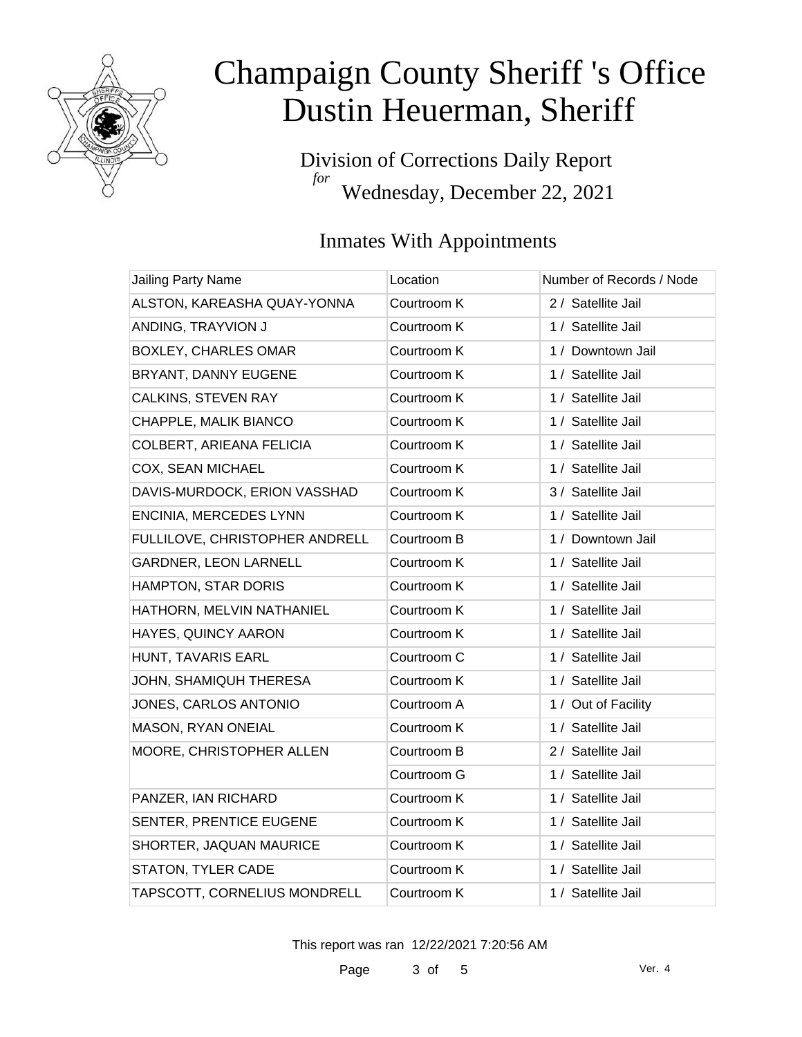

Division of Corrections Daily Report *for* Wednesday, December 22, 2021

### Inmates With Appointments

| Jailing Party Name             | Location    | Number of Records / Node |
|--------------------------------|-------------|--------------------------|
| ALSTON, KAREASHA QUAY-YONNA    | Courtroom K | 2 / Satellite Jail       |
| ANDING, TRAYVION J             | Courtroom K | 1 / Satellite Jail       |
| <b>BOXLEY, CHARLES OMAR</b>    | Courtroom K | 1 / Downtown Jail        |
| BRYANT, DANNY EUGENE           | Courtroom K | 1 / Satellite Jail       |
| CALKINS, STEVEN RAY            | Courtroom K | 1 / Satellite Jail       |
| CHAPPLE, MALIK BIANCO          | Courtroom K | 1 / Satellite Jail       |
| COLBERT, ARIEANA FELICIA       | Courtroom K | 1 / Satellite Jail       |
| COX, SEAN MICHAEL              | Courtroom K | 1 / Satellite Jail       |
| DAVIS-MURDOCK, ERION VASSHAD   | Courtroom K | 3 / Satellite Jail       |
| ENCINIA, MERCEDES LYNN         | Courtroom K | 1 / Satellite Jail       |
| FULLILOVE, CHRISTOPHER ANDRELL | Courtroom B | 1 / Downtown Jail        |
| GARDNER, LEON LARNELL          | Courtroom K | 1 / Satellite Jail       |
| HAMPTON, STAR DORIS            | Courtroom K | 1 / Satellite Jail       |
| HATHORN, MELVIN NATHANIEL      | Courtroom K | 1 / Satellite Jail       |
| HAYES, QUINCY AARON            | Courtroom K | 1 / Satellite Jail       |
| HUNT, TAVARIS EARL             | Courtroom C | 1 / Satellite Jail       |
| JOHN, SHAMIQUH THERESA         | Courtroom K | 1 / Satellite Jail       |
| JONES, CARLOS ANTONIO          | Courtroom A | 1 / Out of Facility      |
| MASON, RYAN ONEIAL             | Courtroom K | 1 / Satellite Jail       |
| MOORE, CHRISTOPHER ALLEN       | Courtroom B | 2 / Satellite Jail       |
|                                | Courtroom G | 1 / Satellite Jail       |
| PANZER, IAN RICHARD            | Courtroom K | 1 / Satellite Jail       |
| SENTER, PRENTICE EUGENE        | Courtroom K | 1 / Satellite Jail       |
| SHORTER, JAQUAN MAURICE        | Courtroom K | 1 / Satellite Jail       |
| STATON, TYLER CADE             | Courtroom K | 1 / Satellite Jail       |
| TAPSCOTT, CORNELIUS MONDRELL   | Courtroom K | 1 / Satellite Jail       |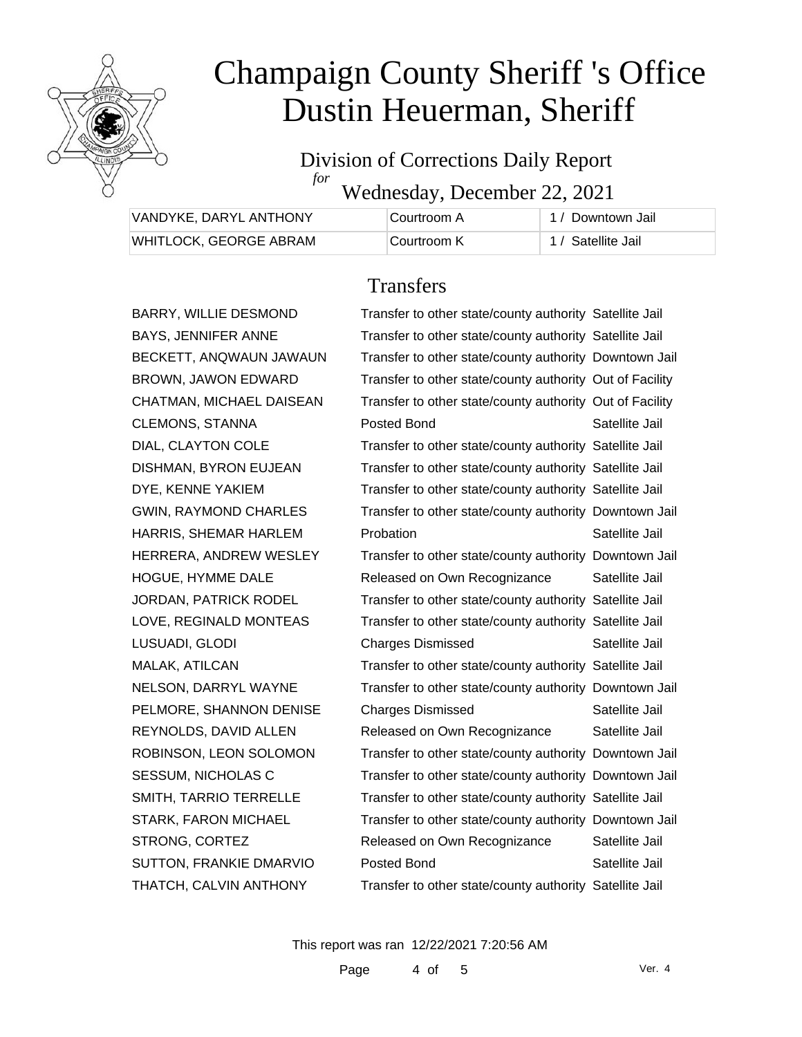

#### Division of Corrections Daily Report *for*

Wednesday, December 22, 2021

| VANDYKE, DARYL ANTHONY | ∣Courtroom A | 1 / Downtown Jail  |
|------------------------|--------------|--------------------|
| WHITLOCK, GEORGE ABRAM | Courtroom K  | 1 / Satellite Jail |

### **Transfers**

|   | Transfer to other state/county authority Satellite Jail  |                |
|---|----------------------------------------------------------|----------------|
|   | Transfer to other state/county authority Satellite Jail  |                |
| √ | Transfer to other state/county authority Downtown Jail   |                |
|   | Transfer to other state/county authority Out of Facility |                |
|   | Transfer to other state/county authority Out of Facility |                |
|   | Posted Bond                                              | Satellite Jail |
|   | Transfer to other state/county authority Satellite Jail  |                |
|   | Transfer to other state/county authority Satellite Jail  |                |
|   | Transfer to other state/county authority Satellite Jail  |                |
|   | Transfer to other state/county authority Downtown Jail   |                |
|   | Probation                                                | Satellite Jail |
|   | Transfer to other state/county authority Downtown Jail   |                |
|   | Released on Own Recognizance                             | Satellite Jail |
|   | Transfer to other state/county authority Satellite Jail  |                |
|   | Transfer to other state/county authority Satellite Jail  |                |
|   | <b>Charges Dismissed</b>                                 | Satellite Jail |
|   | Transfer to other state/county authority Satellite Jail  |                |
|   | Transfer to other state/county authority Downtown Jail   |                |
|   | <b>Charges Dismissed</b>                                 | Satellite Jail |
|   | Released on Own Recognizance                             | Satellite Jail |
|   | Transfer to other state/county authority Downtown Jail   |                |
|   | Transfer to other state/county authority Downtown Jail   |                |
|   | Transfer to other state/county authority Satellite Jail  |                |
|   | Transfer to other state/county authority Downtown Jail   |                |
|   | Released on Own Recognizance                             | Satellite Jail |
|   | Posted Bond                                              | Satellite Jail |
|   | Transfer to other state/county authority Satellite Jail  |                |

BECKETT, ANQWAUN JAWAUN BROWN, JAWON EDWARD CHATMAN, MICHAEL DAISEAN CLEMONS, STANNA DIAL, CLAYTON COLE DISHMAN, BYRON EUJEAN DYE, KENNE YAKIEM GWIN, RAYMOND CHARLES HARRIS, SHEMAR HARLEM HERRERA, ANDREW WESLEY HOGUE, HYMME DALE JORDAN, PATRICK RODEL LOVE, REGINALD MONTEAS LUSUADI, GLODI MALAK, ATILCAN NELSON, DARRYL WAYNE PELMORE, SHANNON DENISE REYNOLDS, DAVID ALLEN ROBINSON, LEON SOLOMON SESSUM, NICHOLAS C SMITH, TARRIO TERRELLE STARK, FARON MICHAEL STRONG, CORTEZ SUTTON, FRANKIE DMARVIO THATCH, CALVIN ANTHONY

BARRY, WILLIE DESMOND BAYS, JENNIFER ANNE